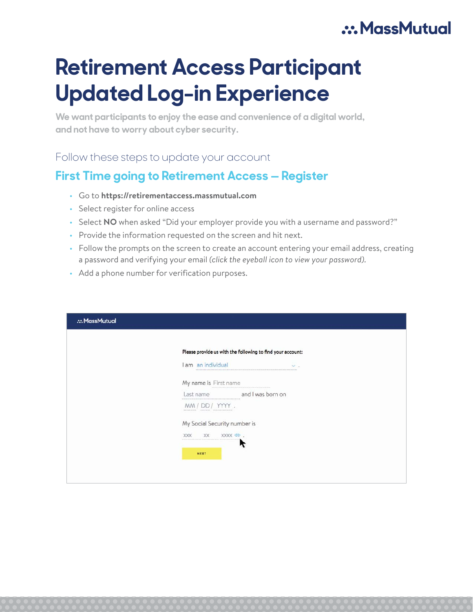## .: MassMutual

# **Retirement Access Participant Updated Log-in Experience**

**We want participants to enjoy the ease and convenience of a digital world, and not have to worry about cyber security.**

Follow these steps to update your account

### **First Time going to Retirement Access — Register**

- Go to **https://retirementaccess.massmutual.com**
- Select register for online access
- Select **NO** when asked "Did your employer provide you with a username and password?"
- Provide the information requested on the screen and hit next.
- Follow the prompts on the screen to create an account entering your email address, creating a password and verifying your email *(click the eyeball icon to view your password).*
- Add a phone number for verification purposes.

| MassMutual |                                                            |  |
|------------|------------------------------------------------------------|--|
|            | Please provide us with the following to find your account: |  |
|            | I am an individual<br>$\vee$ .                             |  |
|            | My name is First name                                      |  |
|            | and I was born on<br>Last name                             |  |
|            | $MM/DD/YYY$ .<br>ussusses assess assessmenter              |  |
|            | My Social Security number is                               |  |
|            | XXXX ®.<br>XXX<br>XX                                       |  |
|            | NEXT                                                       |  |
|            |                                                            |  |
|            |                                                            |  |